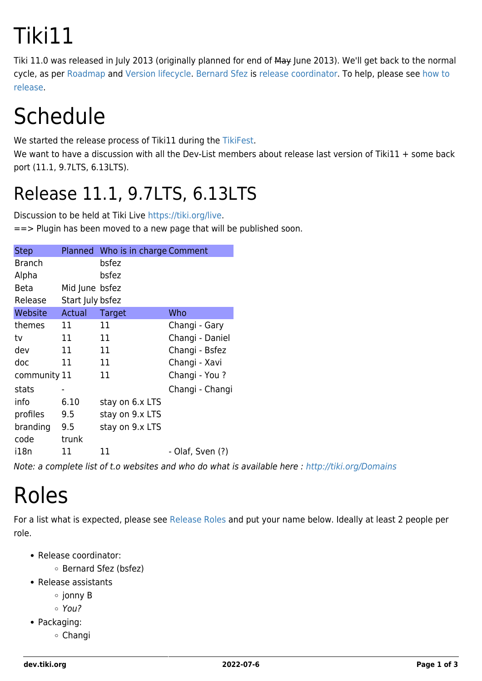# Tiki11

Tiki 11.0 was released in July 2013 (originally planned for end of May June 2013). We'll get back to the normal cycle, as per [Roadmap](https://dev.tiki.org/RoadMap) and [Version lifecycle](http://info.tiki.org/Version%20lifecycle). [Bernard Sfez](http://www.shocksite.com/) is [release coordinator.](http://tiki.org/release%20coordinator) To help, please see [how to](https://dev.tiki.org/How-to-release) [release](https://dev.tiki.org/How-to-release).

## **Schedule**

We started the release process of Tiki11 during the [TikiFest](http://tiki.org/TikiFestMontreal-Ottawa11).

We want to have a discussion with all the Dev-List members about release last version of Tiki11 + some back port (11.1, 9.7LTS, 6.13LTS).

#### Release 11.1, 9.7LTS, 6.13LTS

Discussion to be held at Tiki Live [https://tiki.org/live.](https://tiki.org/live)

==> Plugin has been moved to a new page that will be published soon.

| <b>Step</b>   |                  | Planned Who is in charge Comment |                  |
|---------------|------------------|----------------------------------|------------------|
| <b>Branch</b> |                  | bsfez                            |                  |
| Alpha         |                  | bsfez                            |                  |
| <b>Beta</b>   | Mid June bsfez   |                                  |                  |
| Release       | Start July bsfez |                                  |                  |
| Website       | Actual           | Target                           | Who              |
| themes        | 11               | 11                               | Changi - Gary    |
| tv            | 11               | 11                               | Changi - Daniel  |
| dev           | 11               | 11                               | Changi - Bsfez   |
| doc           | 11               | 11                               | Changi - Xavi    |
| community 11  |                  | 11                               | Changi - You ?   |
| stats         | $\blacksquare$   |                                  | Changi - Changi  |
| info          | 6.10             | stay on 6.x LTS                  |                  |
| profiles      | 9.5              | stay on 9.x LTS                  |                  |
| branding      | 9.5              | stay on 9.x LTS                  |                  |
| code          | trunk            |                                  |                  |
| i18n          | 11               | 11                               | - Olaf, Sven (?) |

Note: a complete list of t.o websites and who do what is available here :<http://tiki.org/Domains>

## Roles

For a list what is expected, please see [Release Roles](http://tiki.org/Release%20Roles) and put your name below. Ideally at least 2 people per role.

- Release coordinator:
	- Bernard Sfez (bsfez)
- Release assistants
	- ∘ jonny B
	- You?
- Packaging:
	- Changi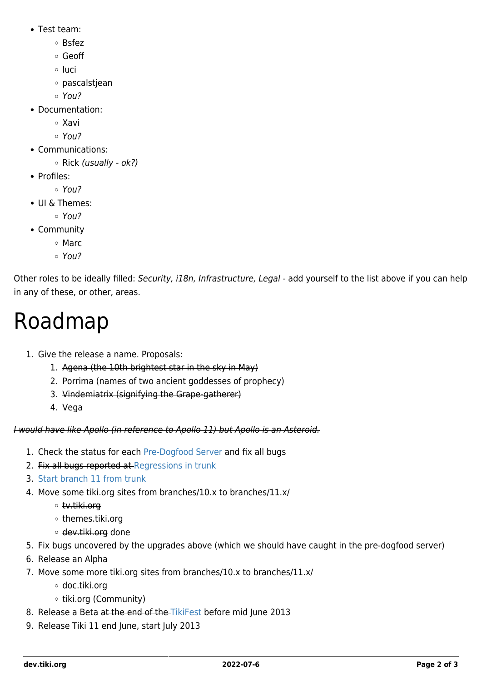- Test team:
	- Bsfez
	- Geoff
	- ∘ luci
	- pascalstjean
	- $\circ$  You?
- Documentation:
	- Xavi
	- You?
- Communications:
	- $\circ$  Rick (usually ok?)
- Profiles:
	- $\circ$  You?
- UI & Themes:
	- You?
- Community
	- Marc
	- $\circ$  You?

Other roles to be ideally filled: Security, i18n, Infrastructure, Legal - add yourself to the list above if you can help in any of these, or other, areas.

### Roadmap

- 1. Give the release a name. Proposals:
	- 1. Agena (the 10th brightest star in the sky in May)
	- 2. Porrima (names of two ancient goddesses of prophecy)
	- 3. Vindemiatrix (signifying the Grape-gatherer)
	- 4. Vega

I would have like Apollo (in reference to Apollo 11) but Apollo is an Asteroid.

- 1. Check the status for each [Pre-Dogfood Server](http://tiki.org/Pre-Dogfood%20Server) and fix all bugs
- 2. Fix all bugs reported at [Regressions in trunk](https://dev.tiki.org/Regressions-in-trunk)
- 3. [Start branch 11 from trunk](https://dev.tiki.org/How-to-release#Create_a_branch_if_you_are_releasing_a_major_version)
- 4. Move some tiki.org sites from branches/10.x to branches/11.x/
	- tv.tiki.org
	- themes.tiki.org
	- o dev.tiki.org done
- 5. Fix bugs uncovered by the upgrades above (which we should have caught in the pre-dogfood server)
- 6. Release an Alpha
- 7. Move some more tiki.org sites from branches/10.x to branches/11.x/
	- doc.tiki.org
	- o tiki.org (Community)
- 8. Release a Beta at the end of the [TikiFest](http://tiki.org/TikiFestMontreal-Ottawa11) before mid June 2013
- 9. Release Tiki 11 end June, start July 2013